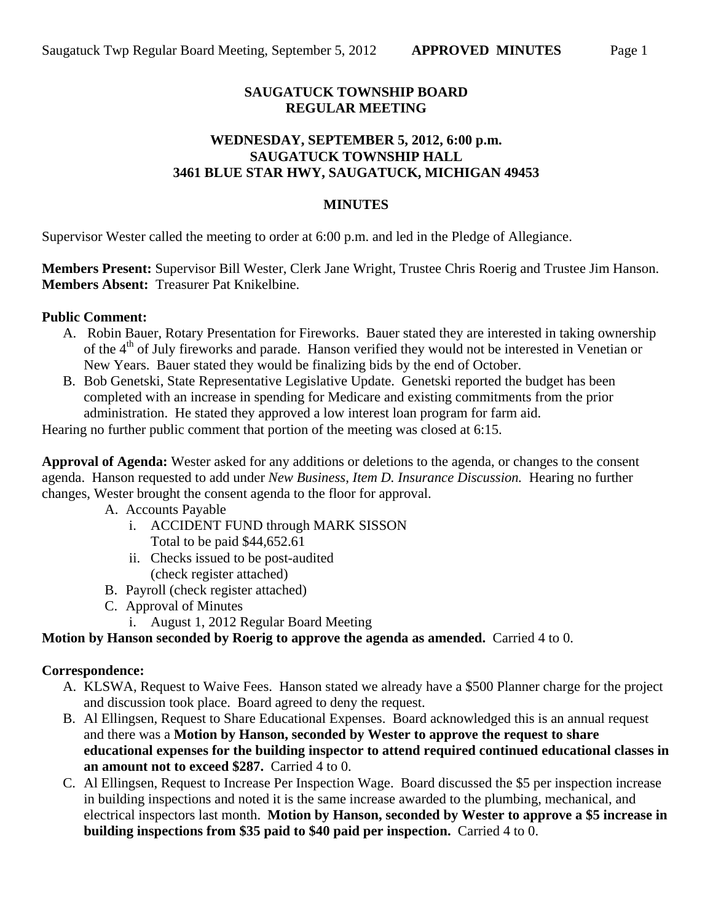# **SAUGATUCK TOWNSHIP BOARD REGULAR MEETING**

### **WEDNESDAY, SEPTEMBER 5, 2012, 6:00 p.m. SAUGATUCK TOWNSHIP HALL 3461 BLUE STAR HWY, SAUGATUCK, MICHIGAN 49453**

#### **MINUTES**

Supervisor Wester called the meeting to order at 6:00 p.m. and led in the Pledge of Allegiance.

**Members Present:** Supervisor Bill Wester, Clerk Jane Wright, Trustee Chris Roerig and Trustee Jim Hanson. **Members Absent:** Treasurer Pat Knikelbine.

### **Public Comment:**

- A. Robin Bauer, Rotary Presentation for Fireworks. Bauer stated they are interested in taking ownership of the 4<sup>th</sup> of July fireworks and parade. Hanson verified they would not be interested in Venetian or New Years. Bauer stated they would be finalizing bids by the end of October.
- B. Bob Genetski, State Representative Legislative Update. Genetski reported the budget has been completed with an increase in spending for Medicare and existing commitments from the prior administration. He stated they approved a low interest loan program for farm aid.

Hearing no further public comment that portion of the meeting was closed at 6:15.

**Approval of Agenda:** Wester asked for any additions or deletions to the agenda, or changes to the consent agenda. Hanson requested to add under *New Business, Item D. Insurance Discussion.* Hearing no further changes, Wester brought the consent agenda to the floor for approval.

- A. Accounts Payable
	- i. ACCIDENT FUND through MARK SISSON Total to be paid \$44,652.61
	- ii. Checks issued to be post-audited (check register attached)
- B. Payroll (check register attached)
- C. Approval of Minutes
	- i. August 1, 2012 Regular Board Meeting

# **Motion by Hanson seconded by Roerig to approve the agenda as amended.** Carried 4 to 0.

#### **Correspondence:**

- A. KLSWA, Request to Waive Fees. Hanson stated we already have a \$500 Planner charge for the project and discussion took place. Board agreed to deny the request.
- B. Al Ellingsen, Request to Share Educational Expenses. Board acknowledged this is an annual request and there was a **Motion by Hanson, seconded by Wester to approve the request to share educational expenses for the building inspector to attend required continued educational classes in an amount not to exceed \$287.** Carried 4 to 0.
- C. Al Ellingsen, Request to Increase Per Inspection Wage. Board discussed the \$5 per inspection increase in building inspections and noted it is the same increase awarded to the plumbing, mechanical, and electrical inspectors last month. **Motion by Hanson, seconded by Wester to approve a \$5 increase in building inspections from \$35 paid to \$40 paid per inspection.** Carried 4 to 0.